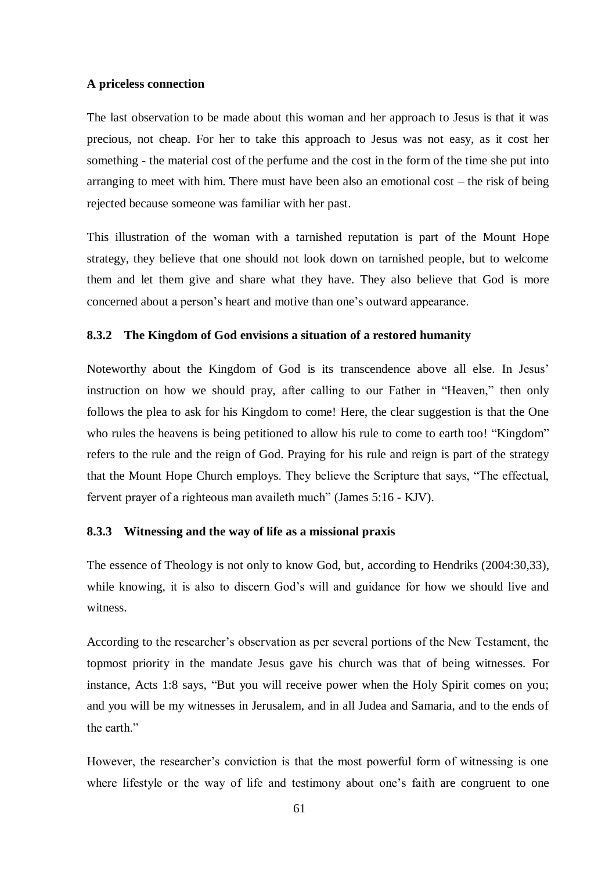# **A priceless connection**

The last observation to be made about this woman and her approach to Jesus is that it was precious, not cheap. For her to take this approach to Jesus was not easy, as it cost her something - the material cost of the perfume and the cost in the form of the time she put into arranging to meet with him. There must have been also an emotional cost – the risk of being rejected because someone was familiar with her past.

This illustration of the woman with a tarnished reputation is part of the Mount Hope strategy, they believe that one should not look down on tarnished people, but to welcome them and let them give and share what they have. They also believe that God is more concerned about a person's heart and motive than one's outward appearance.

### **8.3.2 The Kingdom of God envisions a situation of a restored humanity**

Noteworthy about the Kingdom of God is its transcendence above all else. In Jesus' instruction on how we should pray, after calling to our Father in "Heaven," then only follows the plea to ask for his Kingdom to come! Here, the clear suggestion is that the One who rules the heavens is being petitioned to allow his rule to come to earth too! "Kingdom" refers to the rule and the reign of God. Praying for his rule and reign is part of the strategy that the Mount Hope Church employs. They believe the Scripture that says, "The effectual, fervent prayer of a righteous man availeth much" (James 5:16 - KJV).

# **8.3.3 Witnessing and the way of life as a missional praxis**

The essence of Theology is not only to know God, but, according to Hendriks (2004:30,33), while knowing, it is also to discern God's will and guidance for how we should live and witness.

According to the researcher's observation as per several portions of the New Testament, the topmost priority in the mandate Jesus gave his church was that of being witnesses. For instance, Acts 1:8 says, "But you will receive power when the Holy Spirit comes on you; and you will be my witnesses in Jerusalem, and in all Judea and Samaria, and to the ends of the earth"

However, the researcher's conviction is that the most powerful form of witnessing is one where lifestyle or the way of life and testimony about one's faith are congruent to one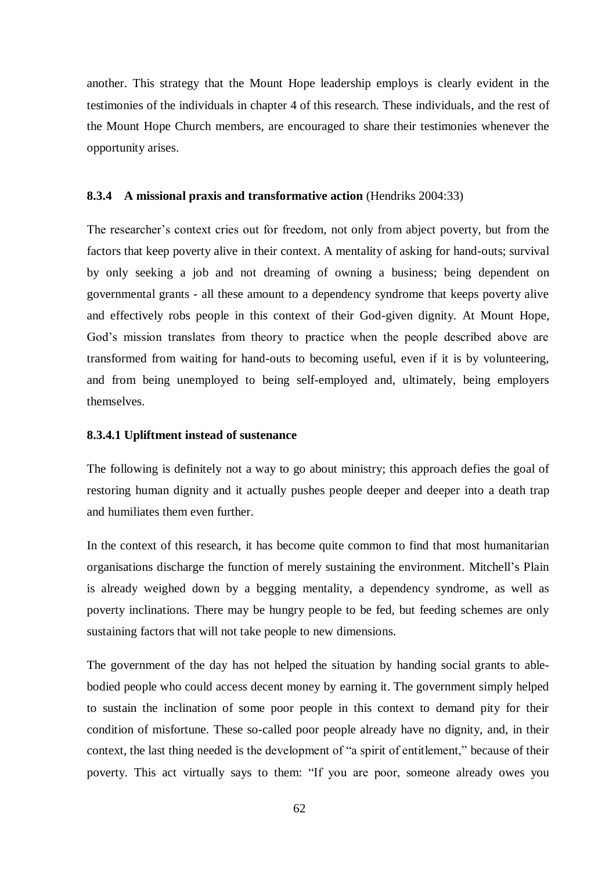another. This strategy that the Mount Hope leadership employs is clearly evident in the testimonies of the individuals in chapter 4 of this research. These individuals, and the rest of the Mount Hope Church members, are encouraged to share their testimonies whenever the opportunity arises.

#### **8.3.4 A missional praxis and transformative action** (Hendriks 2004:33)

The researcher's context cries out for freedom, not only from abject poverty, but from the factors that keep poverty alive in their context. A mentality of asking for hand-outs; survival by only seeking a job and not dreaming of owning a business; being dependent on governmental grants - all these amount to a dependency syndrome that keeps poverty alive and effectively robs people in this context of their God-given dignity. At Mount Hope, God's mission translates from theory to practice when the people described above are transformed from waiting for hand-outs to becoming useful, even if it is by volunteering, and from being unemployed to being self-employed and, ultimately, being employers themselves.

#### **8.3.4.1 Upliftment instead of sustenance**

The following is definitely not a way to go about ministry; this approach defies the goal of restoring human dignity and it actually pushes people deeper and deeper into a death trap and humiliates them even further.

In the context of this research, it has become quite common to find that most humanitarian organisations discharge the function of merely sustaining the environment. Mitchell's Plain is already weighed down by a begging mentality, a dependency syndrome, as well as poverty inclinations. There may be hungry people to be fed, but feeding schemes are only sustaining factors that will not take people to new dimensions.

The government of the day has not helped the situation by handing social grants to ablebodied people who could access decent money by earning it. The government simply helped to sustain the inclination of some poor people in this context to demand pity for their condition of misfortune. These so-called poor people already have no dignity, and, in their context, the last thing needed is the development of "a spirit of entitlement," because of their poverty. This act virtually says to them: "If you are poor, someone already owes you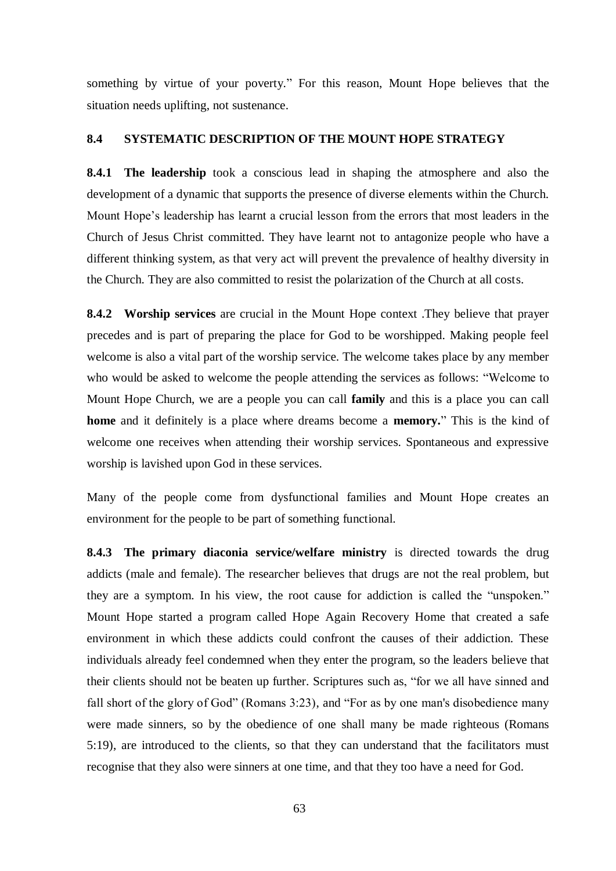something by virtue of your poverty." For this reason, Mount Hope believes that the situation needs uplifting, not sustenance.

### **8.4 SYSTEMATIC DESCRIPTION OF THE MOUNT HOPE STRATEGY**

**8.4.1 The leadership** took a conscious lead in shaping the atmosphere and also the development of a dynamic that supports the presence of diverse elements within the Church. Mount Hope's leadership has learnt a crucial lesson from the errors that most leaders in the Church of Jesus Christ committed. They have learnt not to antagonize people who have a different thinking system, as that very act will prevent the prevalence of healthy diversity in the Church. They are also committed to resist the polarization of the Church at all costs.

**8.4.2 Worship services** are crucial in the Mount Hope context .They believe that prayer precedes and is part of preparing the place for God to be worshipped. Making people feel welcome is also a vital part of the worship service. The welcome takes place by any member who would be asked to welcome the people attending the services as follows: "Welcome to Mount Hope Church, we are a people you can call **family** and this is a place you can call **home** and it definitely is a place where dreams become a **memory.**" This is the kind of welcome one receives when attending their worship services. Spontaneous and expressive worship is lavished upon God in these services.

Many of the people come from dysfunctional families and Mount Hope creates an environment for the people to be part of something functional.

**8.4.3 The primary diaconia service/welfare ministry** is directed towards the drug addicts (male and female). The researcher believes that drugs are not the real problem, but they are a symptom. In his view, the root cause for addiction is called the "unspoken." Mount Hope started a program called Hope Again Recovery Home that created a safe environment in which these addicts could confront the causes of their addiction. These individuals already feel condemned when they enter the program, so the leaders believe that their clients should not be beaten up further. Scriptures such as, "for we all have sinned and fall short of the glory of God" (Romans 3:23), and "For as by one man's disobedience many were made sinners, so by the obedience of one shall many be made righteous (Romans 5:19), are introduced to the clients, so that they can understand that the facilitators must recognise that they also were sinners at one time, and that they too have a need for God.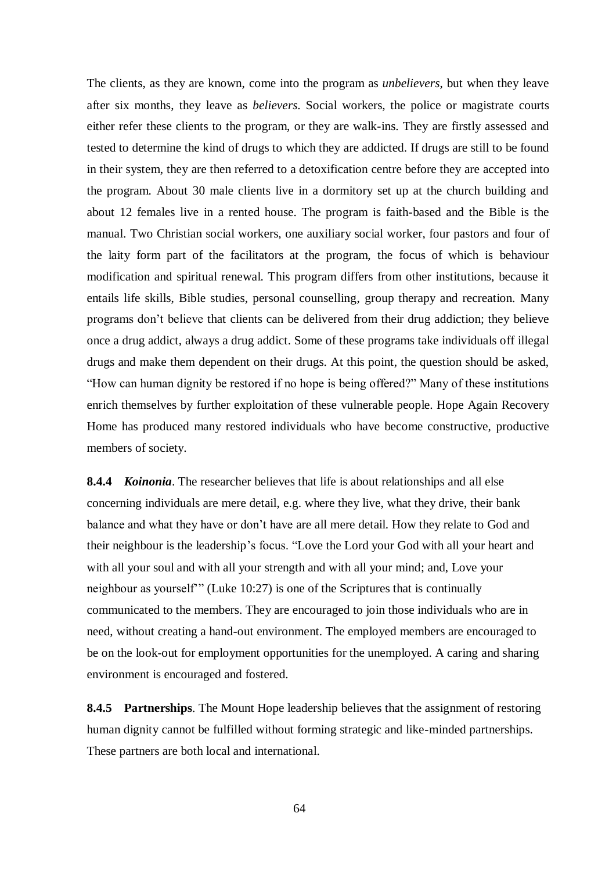The clients, as they are known, come into the program as *unbelievers*, but when they leave after six months, they leave as *believers*. Social workers, the police or magistrate courts either refer these clients to the program, or they are walk-ins. They are firstly assessed and tested to determine the kind of drugs to which they are addicted. If drugs are still to be found in their system, they are then referred to a detoxification centre before they are accepted into the program. About 30 male clients live in a dormitory set up at the church building and about 12 females live in a rented house. The program is faith-based and the Bible is the manual. Two Christian social workers, one auxiliary social worker, four pastors and four of the laity form part of the facilitators at the program, the focus of which is behaviour modification and spiritual renewal. This program differs from other institutions, because it entails life skills, Bible studies, personal counselling, group therapy and recreation. Many programs don't believe that clients can be delivered from their drug addiction; they believe once a drug addict, always a drug addict. Some of these programs take individuals off illegal drugs and make them dependent on their drugs. At this point, the question should be asked, "How can human dignity be restored if no hope is being offered?" Many of these institutions enrich themselves by further exploitation of these vulnerable people. Hope Again Recovery Home has produced many restored individuals who have become constructive, productive members of society.

**8.4.4** *Koinonia*. The researcher believes that life is about relationships and all else concerning individuals are mere detail, e.g. where they live, what they drive, their bank balance and what they have or don't have are all mere detail. How they relate to God and their neighbour is the leadership's focus. "Love the Lord your God with all your heart and with all your soul and with all your strength and with all your mind; and, Love your neighbour as yourself'" (Luke 10:27) is one of the Scriptures that is continually communicated to the members. They are encouraged to join those individuals who are in need, without creating a hand-out environment. The employed members are encouraged to be on the look-out for employment opportunities for the unemployed. A caring and sharing environment is encouraged and fostered.

**8.4.5 Partnerships**. The Mount Hope leadership believes that the assignment of restoring human dignity cannot be fulfilled without forming strategic and like-minded partnerships. These partners are both local and international.

64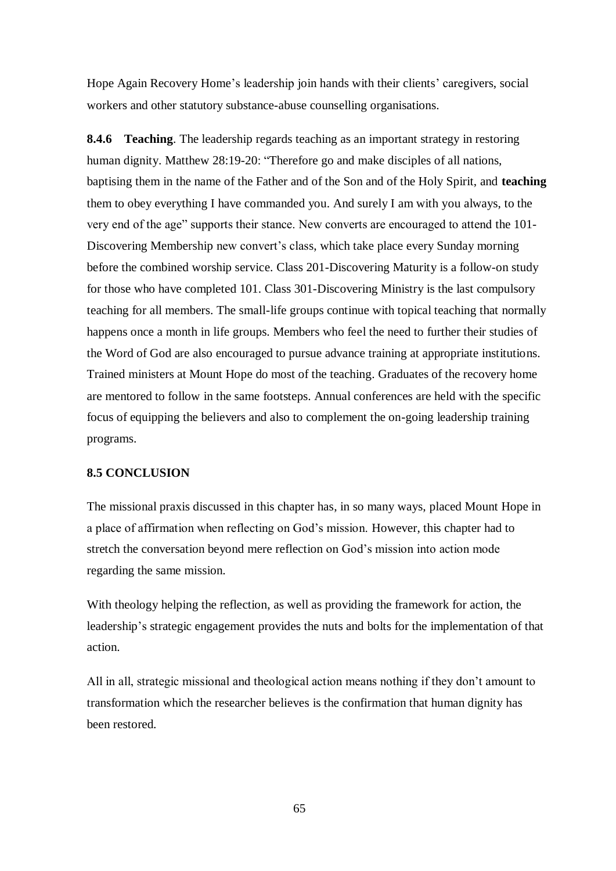Hope Again Recovery Home's leadership join hands with their clients' caregivers, social workers and other statutory substance-abuse counselling organisations.

**8.4.6 Teaching**. The leadership regards teaching as an important strategy in restoring human dignity. Matthew 28:19-20: "Therefore go and make disciples of all nations, baptising them in the name of the Father and of the Son and of the Holy Spirit, and **teaching** them to obey everything I have commanded you. And surely I am with you always, to the very end of the age" supports their stance. New converts are encouraged to attend the 101- Discovering Membership new convert's class, which take place every Sunday morning before the combined worship service. Class 201-Discovering Maturity is a follow-on study for those who have completed 101. Class 301-Discovering Ministry is the last compulsory teaching for all members. The small-life groups continue with topical teaching that normally happens once a month in life groups. Members who feel the need to further their studies of the Word of God are also encouraged to pursue advance training at appropriate institutions. Trained ministers at Mount Hope do most of the teaching. Graduates of the recovery home are mentored to follow in the same footsteps. Annual conferences are held with the specific focus of equipping the believers and also to complement the on-going leadership training programs.

#### **8.5 CONCLUSION**

The missional praxis discussed in this chapter has, in so many ways, placed Mount Hope in a place of affirmation when reflecting on God's mission. However, this chapter had to stretch the conversation beyond mere reflection on God's mission into action mode regarding the same mission.

With theology helping the reflection, as well as providing the framework for action, the leadership's strategic engagement provides the nuts and bolts for the implementation of that action.

All in all, strategic missional and theological action means nothing if they don't amount to transformation which the researcher believes is the confirmation that human dignity has been restored.

65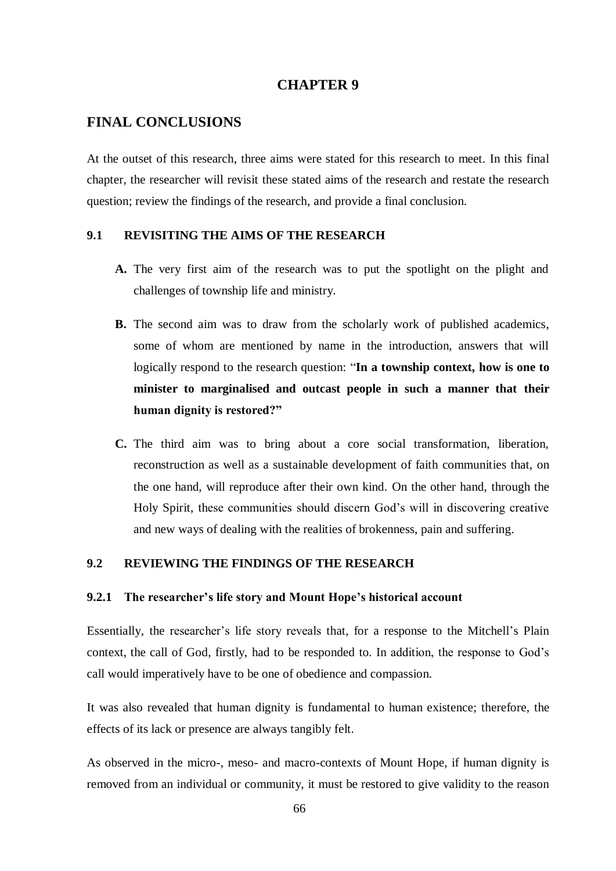## **CHAPTER 9**

## **FINAL CONCLUSIONS**

At the outset of this research, three aims were stated for this research to meet. In this final chapter, the researcher will revisit these stated aims of the research and restate the research question; review the findings of the research, and provide a final conclusion.

#### **9.1 REVISITING THE AIMS OF THE RESEARCH**

- **A.** The very first aim of the research was to put the spotlight on the plight and challenges of township life and ministry.
- **B.** The second aim was to draw from the scholarly work of published academics, some of whom are mentioned by name in the introduction, answers that will logically respond to the research question: "**In a township context, how is one to minister to marginalised and outcast people in such a manner that their human dignity is restored?"**
- **C.** The third aim was to bring about a core social transformation, liberation, reconstruction as well as a sustainable development of faith communities that, on the one hand, will reproduce after their own kind. On the other hand, through the Holy Spirit, these communities should discern God's will in discovering creative and new ways of dealing with the realities of brokenness, pain and suffering.

## **9.2 REVIEWING THE FINDINGS OF THE RESEARCH**

#### **9.2.1 The researcher's life story and Mount Hope's historical account**

Essentially, the researcher's life story reveals that, for a response to the Mitchell's Plain context, the call of God, firstly, had to be responded to. In addition, the response to God's call would imperatively have to be one of obedience and compassion.

It was also revealed that human dignity is fundamental to human existence; therefore, the effects of its lack or presence are always tangibly felt.

As observed in the micro-, meso- and macro-contexts of Mount Hope, if human dignity is removed from an individual or community, it must be restored to give validity to the reason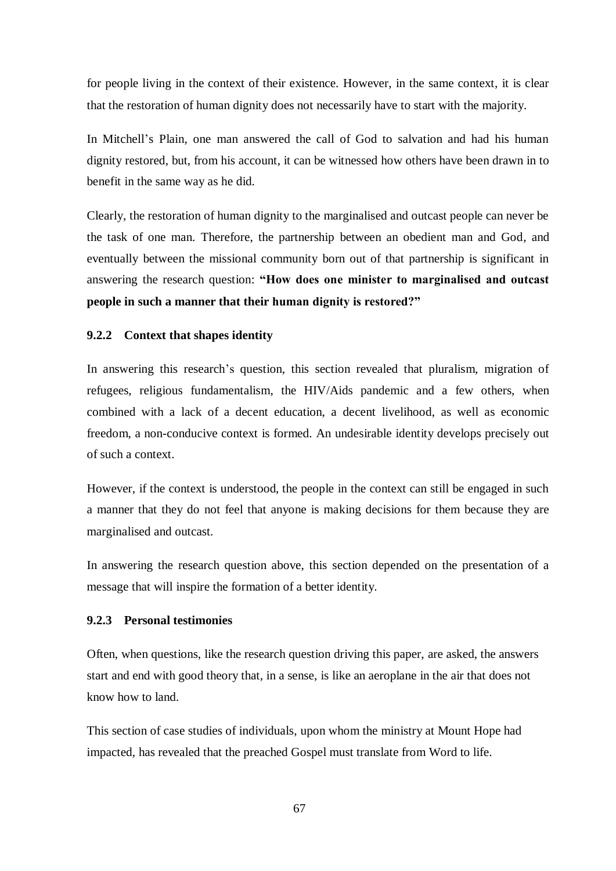for people living in the context of their existence. However, in the same context, it is clear that the restoration of human dignity does not necessarily have to start with the majority.

In Mitchell's Plain, one man answered the call of God to salvation and had his human dignity restored, but, from his account, it can be witnessed how others have been drawn in to benefit in the same way as he did.

Clearly, the restoration of human dignity to the marginalised and outcast people can never be the task of one man. Therefore, the partnership between an obedient man and God, and eventually between the missional community born out of that partnership is significant in answering the research question: **"How does one minister to marginalised and outcast people in such a manner that their human dignity is restored?"**

#### **9.2.2 Context that shapes identity**

In answering this research's question, this section revealed that pluralism, migration of refugees, religious fundamentalism, the HIV/Aids pandemic and a few others, when combined with a lack of a decent education, a decent livelihood, as well as economic freedom, a non-conducive context is formed. An undesirable identity develops precisely out of such a context.

However, if the context is understood, the people in the context can still be engaged in such a manner that they do not feel that anyone is making decisions for them because they are marginalised and outcast.

In answering the research question above, this section depended on the presentation of a message that will inspire the formation of a better identity.

## **9.2.3 Personal testimonies**

Often, when questions, like the research question driving this paper, are asked, the answers start and end with good theory that, in a sense, is like an aeroplane in the air that does not know how to land.

This section of case studies of individuals, upon whom the ministry at Mount Hope had impacted, has revealed that the preached Gospel must translate from Word to life.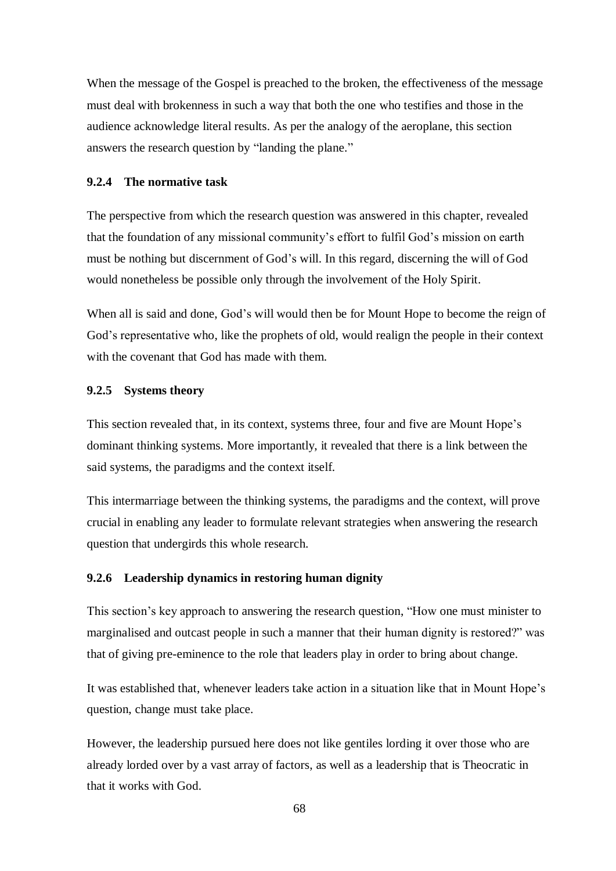When the message of the Gospel is preached to the broken, the effectiveness of the message must deal with brokenness in such a way that both the one who testifies and those in the audience acknowledge literal results. As per the analogy of the aeroplane, this section answers the research question by "landing the plane."

#### **9.2.4 The normative task**

The perspective from which the research question was answered in this chapter, revealed that the foundation of any missional community's effort to fulfil God's mission on earth must be nothing but discernment of God's will. In this regard, discerning the will of God would nonetheless be possible only through the involvement of the Holy Spirit.

When all is said and done, God's will would then be for Mount Hope to become the reign of God's representative who, like the prophets of old, would realign the people in their context with the covenant that God has made with them.

#### **9.2.5 Systems theory**

This section revealed that, in its context, systems three, four and five are Mount Hope's dominant thinking systems. More importantly, it revealed that there is a link between the said systems, the paradigms and the context itself.

This intermarriage between the thinking systems, the paradigms and the context, will prove crucial in enabling any leader to formulate relevant strategies when answering the research question that undergirds this whole research.

#### **9.2.6 Leadership dynamics in restoring human dignity**

This section's key approach to answering the research question, "How one must minister to marginalised and outcast people in such a manner that their human dignity is restored?" was that of giving pre-eminence to the role that leaders play in order to bring about change.

It was established that, whenever leaders take action in a situation like that in Mount Hope's question, change must take place.

However, the leadership pursued here does not like gentiles lording it over those who are already lorded over by a vast array of factors, as well as a leadership that is Theocratic in that it works with God.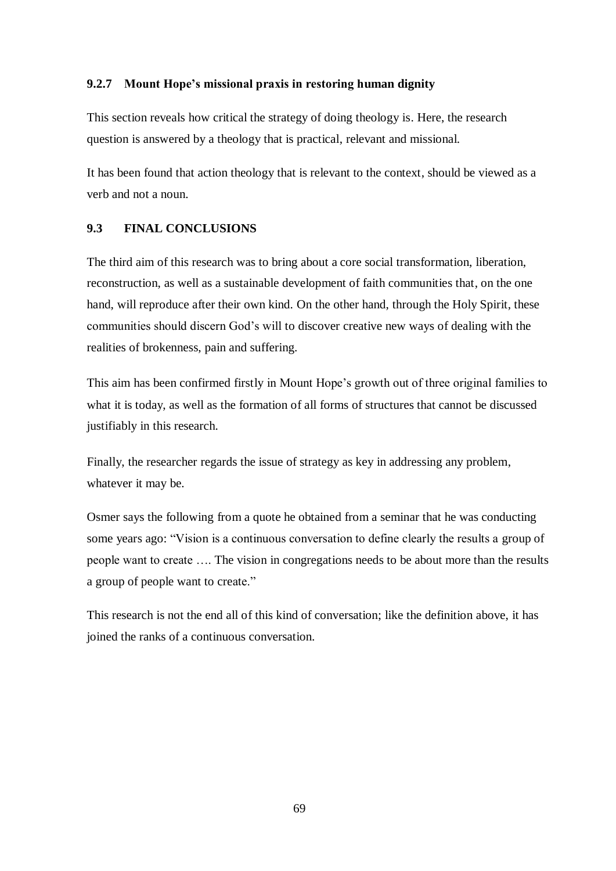#### **9.2.7 Mount Hope's missional praxis in restoring human dignity**

This section reveals how critical the strategy of doing theology is. Here, the research question is answered by a theology that is practical, relevant and missional.

It has been found that action theology that is relevant to the context, should be viewed as a verb and not a noun.

#### **9.3 FINAL CONCLUSIONS**

The third aim of this research was to bring about a core social transformation, liberation, reconstruction, as well as a sustainable development of faith communities that, on the one hand, will reproduce after their own kind. On the other hand, through the Holy Spirit, these communities should discern God's will to discover creative new ways of dealing with the realities of brokenness, pain and suffering.

This aim has been confirmed firstly in Mount Hope's growth out of three original families to what it is today, as well as the formation of all forms of structures that cannot be discussed justifiably in this research.

Finally, the researcher regards the issue of strategy as key in addressing any problem, whatever it may be.

Osmer says the following from a quote he obtained from a seminar that he was conducting some years ago: "Vision is a continuous conversation to define clearly the results a group of people want to create …. The vision in congregations needs to be about more than the results a group of people want to create."

This research is not the end all of this kind of conversation; like the definition above, it has joined the ranks of a continuous conversation.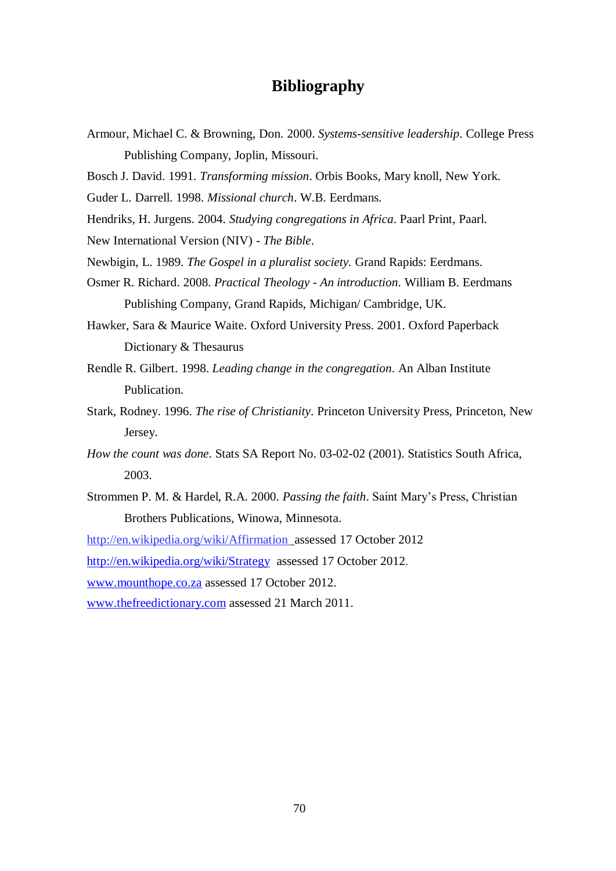# **Bibliography**

- Armour, Michael C. & Browning, Don. 2000. *Systems-sensitive leadership*. College Press Publishing Company, Joplin, Missouri.
- Bosch J. David. 1991. *Transforming mission*. Orbis Books, Mary knoll, New York.
- Guder L. Darrell. 1998. *Missional church*. W.B. Eerdmans.
- Hendriks, H. Jurgens. 2004. *Studying congregations in Africa*. Paarl Print, Paarl.
- New International Version (NIV) *The Bible*.
- Newbigin, L. 1989. *The Gospel in a pluralist society.* Grand Rapids: Eerdmans.
- Osmer R. Richard. 2008. *Practical Theology An introduction*. William B. Eerdmans Publishing Company, Grand Rapids, Michigan/ Cambridge, UK.
- Hawker, Sara & Maurice Waite. Oxford University Press. 2001. Oxford Paperback Dictionary & Thesaurus
- Rendle R. Gilbert. 1998. *Leading change in the congregation*. An Alban Institute Publication.
- Stark, Rodney. 1996. *The rise of Christianity*. Princeton University Press, Princeton, New Jersey.
- *How the count was done*. Stats SA Report No. 03-02-02 (2001). Statistics South Africa, 2003.
- Strommen P. M. & Hardel, R.A. 2000. *Passing the faith*. Saint Mary's Press, Christian Brothers Publications, Winowa, Minnesota.
- <http://en.wikipedia.org/wiki/Affirmation> assessed 17 October 2012

<http://en.wikipedia.org/wiki/Strategy>assessed 17 October 2012.

[www.mounthope.co.za](http://www.mounthope.co.za/) assessed 17 October 2012.

[www.thefreedictionary.com](http://www.thefreedictionary.com/) assessed 21 March 2011.